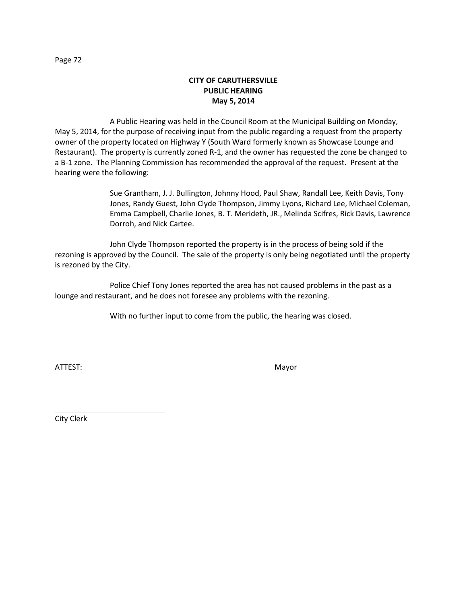## **CITY OF CARUTHERSVILLE PUBLIC HEARING May 5, 2014**

A Public Hearing was held in the Council Room at the Municipal Building on Monday, May 5, 2014, for the purpose of receiving input from the public regarding a request from the property owner of the property located on Highway Y (South Ward formerly known as Showcase Lounge and Restaurant). The property is currently zoned R-1, and the owner has requested the zone be changed to a B-1 zone. The Planning Commission has recommended the approval of the request. Present at the hearing were the following:

> Sue Grantham, J. J. Bullington, Johnny Hood, Paul Shaw, Randall Lee, Keith Davis, Tony Jones, Randy Guest, John Clyde Thompson, Jimmy Lyons, Richard Lee, Michael Coleman, Emma Campbell, Charlie Jones, B. T. Merideth, JR., Melinda Scifres, Rick Davis, Lawrence Dorroh, and Nick Cartee.

John Clyde Thompson reported the property is in the process of being sold if the rezoning is approved by the Council. The sale of the property is only being negotiated until the property is rezoned by the City.

Police Chief Tony Jones reported the area has not caused problems in the past as a lounge and restaurant, and he does not foresee any problems with the rezoning.

With no further input to come from the public, the hearing was closed.

ATTEST: We are also assumed to the contract of the Mayor

City Clerk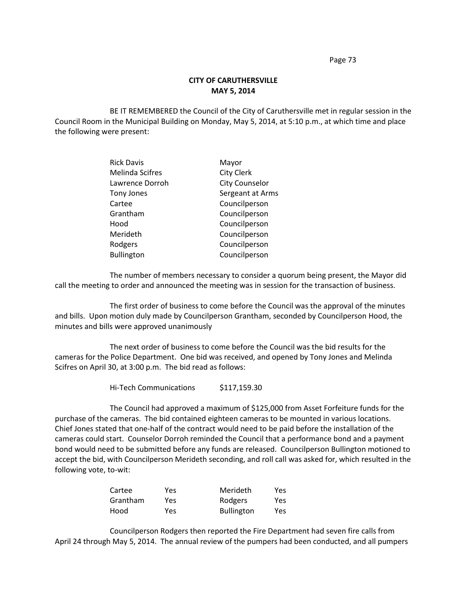## **CITY OF CARUTHERSVILLE MAY 5, 2014**

BE IT REMEMBERED the Council of the City of Caruthersville met in regular session in the Council Room in the Municipal Building on Monday, May 5, 2014, at 5:10 p.m., at which time and place the following were present:

| <b>Rick Davis</b>      | Mayor                 |
|------------------------|-----------------------|
| <b>Melinda Scifres</b> | <b>City Clerk</b>     |
| Lawrence Dorroh        | <b>City Counselor</b> |
| <b>Tony Jones</b>      | Sergeant at Arms      |
| Cartee                 | Councilperson         |
| Grantham               | Councilperson         |
| Hood                   | Councilperson         |
| Merideth               | Councilperson         |
| Rodgers                | Councilperson         |
| <b>Bullington</b>      | Councilperson         |

The number of members necessary to consider a quorum being present, the Mayor did call the meeting to order and announced the meeting was in session for the transaction of business.

The first order of business to come before the Council was the approval of the minutes and bills. Upon motion duly made by Councilperson Grantham, seconded by Councilperson Hood, the minutes and bills were approved unanimously

The next order of business to come before the Council was the bid results for the cameras for the Police Department. One bid was received, and opened by Tony Jones and Melinda Scifres on April 30, at 3:00 p.m. The bid read as follows:

Hi-Tech Communications \$117,159.30

The Council had approved a maximum of \$125,000 from Asset Forfeiture funds for the purchase of the cameras. The bid contained eighteen cameras to be mounted in various locations. Chief Jones stated that one-half of the contract would need to be paid before the installation of the cameras could start. Counselor Dorroh reminded the Council that a performance bond and a payment bond would need to be submitted before any funds are released. Councilperson Bullington motioned to accept the bid, with Councilperson Merideth seconding, and roll call was asked for, which resulted in the following vote, to-wit:

| Cartee   | Yes  | Merideth          | Yes |
|----------|------|-------------------|-----|
| Grantham | Yes  | Rodgers           | Yes |
| Hood     | Yes. | <b>Bullington</b> | Yes |

Councilperson Rodgers then reported the Fire Department had seven fire calls from April 24 through May 5, 2014. The annual review of the pumpers had been conducted, and all pumpers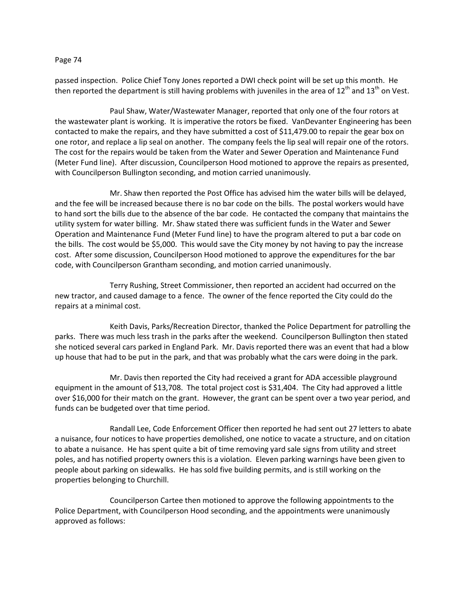passed inspection. Police Chief Tony Jones reported a DWI check point will be set up this month. He then reported the department is still having problems with juveniles in the area of  $12^{th}$  and  $13^{th}$  on Vest.

Paul Shaw, Water/Wastewater Manager, reported that only one of the four rotors at the wastewater plant is working. It is imperative the rotors be fixed. VanDevanter Engineering has been contacted to make the repairs, and they have submitted a cost of \$11,479.00 to repair the gear box on one rotor, and replace a lip seal on another. The company feels the lip seal will repair one of the rotors. The cost for the repairs would be taken from the Water and Sewer Operation and Maintenance Fund (Meter Fund line). After discussion, Councilperson Hood motioned to approve the repairs as presented, with Councilperson Bullington seconding, and motion carried unanimously.

Mr. Shaw then reported the Post Office has advised him the water bills will be delayed, and the fee will be increased because there is no bar code on the bills. The postal workers would have to hand sort the bills due to the absence of the bar code. He contacted the company that maintains the utility system for water billing. Mr. Shaw stated there was sufficient funds in the Water and Sewer Operation and Maintenance Fund (Meter Fund line) to have the program altered to put a bar code on the bills. The cost would be \$5,000. This would save the City money by not having to pay the increase cost. After some discussion, Councilperson Hood motioned to approve the expenditures for the bar code, with Councilperson Grantham seconding, and motion carried unanimously.

Terry Rushing, Street Commissioner, then reported an accident had occurred on the new tractor, and caused damage to a fence. The owner of the fence reported the City could do the repairs at a minimal cost.

Keith Davis, Parks/Recreation Director, thanked the Police Department for patrolling the parks. There was much less trash in the parks after the weekend. Councilperson Bullington then stated she noticed several cars parked in England Park. Mr. Davis reported there was an event that had a blow up house that had to be put in the park, and that was probably what the cars were doing in the park.

Mr. Davis then reported the City had received a grant for ADA accessible playground equipment in the amount of \$13,708. The total project cost is \$31,404. The City had approved a little over \$16,000 for their match on the grant. However, the grant can be spent over a two year period, and funds can be budgeted over that time period.

Randall Lee, Code Enforcement Officer then reported he had sent out 27 letters to abate a nuisance, four notices to have properties demolished, one notice to vacate a structure, and on citation to abate a nuisance. He has spent quite a bit of time removing yard sale signs from utility and street poles, and has notified property owners this is a violation. Eleven parking warnings have been given to people about parking on sidewalks. He has sold five building permits, and is still working on the properties belonging to Churchill.

Councilperson Cartee then motioned to approve the following appointments to the Police Department, with Councilperson Hood seconding, and the appointments were unanimously approved as follows: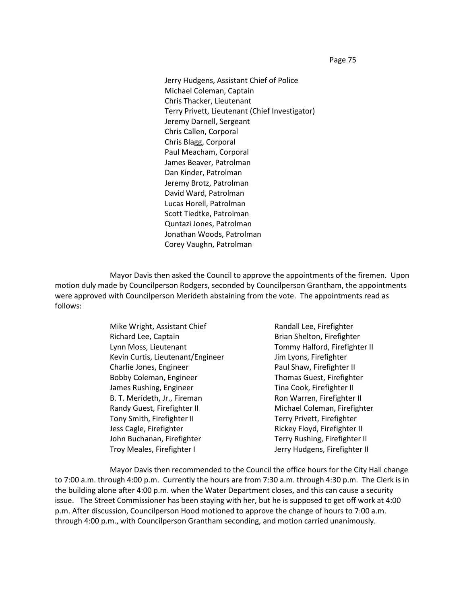Jerry Hudgens, Assistant Chief of Police Michael Coleman, Captain Chris Thacker, Lieutenant Terry Privett, Lieutenant (Chief Investigator) Jeremy Darnell, Sergeant Chris Callen, Corporal Chris Blagg, Corporal Paul Meacham, Corporal James Beaver, Patrolman Dan Kinder, Patrolman Jeremy Brotz, Patrolman David Ward, Patrolman Lucas Horell, Patrolman Scott Tiedtke, Patrolman Quntazi Jones, Patrolman Jonathan Woods, Patrolman Corey Vaughn, Patrolman

Mayor Davis then asked the Council to approve the appointments of the firemen. Upon motion duly made by Councilperson Rodgers, seconded by Councilperson Grantham, the appointments were approved with Councilperson Merideth abstaining from the vote. The appointments read as follows:

> Mike Wright, Assistant Chief **Randall Lee**, Firefighter Richard Lee, Captain **Brian Shelton**, Firefighter Lynn Moss, Lieutenant Tommy Halford, Firefighter II Kevin Curtis, Lieutenant/Engineer Jim Lyons, Firefighter Charlie Jones, Engineer **Paul Shaw, Firefighter II** Bobby Coleman, Engineer Thomas Guest, Firefighter James Rushing, Engineer Tina Cook, Firefighter II B. T. Merideth, Jr., Fireman Ron Warren, Firefighter II Randy Guest, Firefighter II Michael Coleman, Firefighter Tony Smith, Firefighter II Terry Privett, Firefighter Jess Cagle, Firefighter **Rickey Floyd, Firefighter II** John Buchanan, Firefighter Terry Rushing, Firefighter II Troy Meales, Firefighter I and Troy Meales, Firefighter II

Mayor Davis then recommended to the Council the office hours for the City Hall change to 7:00 a.m. through 4:00 p.m. Currently the hours are from 7:30 a.m. through 4:30 p.m. The Clerk is in the building alone after 4:00 p.m. when the Water Department closes, and this can cause a security issue. The Street Commissioner has been staying with her, but he is supposed to get off work at 4:00 p.m. After discussion, Councilperson Hood motioned to approve the change of hours to 7:00 a.m. through 4:00 p.m., with Councilperson Grantham seconding, and motion carried unanimously.

Page 75